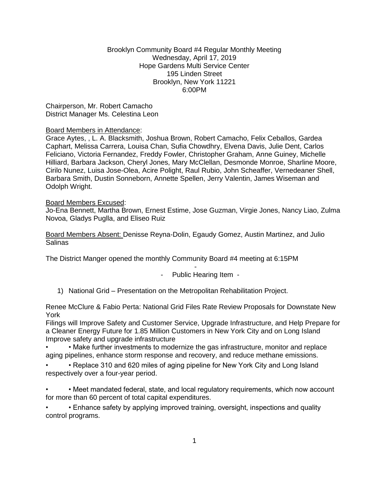## Brooklyn Community Board #4 Regular Monthly Meeting Wednesday, April 17, 2019 Hope Gardens Multi Service Center 195 Linden Street Brooklyn, New York 11221 6:00PM

Chairperson, Mr. Robert Camacho District Manager Ms. Celestina Leon

### Board Members in Attendance:

Grace Aytes, , L. A. Blacksmith, Joshua Brown, Robert Camacho, Felix Ceballos, Gardea Caphart, Melissa Carrera, Louisa Chan, Sufia Chowdhry, Elvena Davis, Julie Dent, Carlos Feliciano, Victoria Fernandez, Freddy Fowler, Christopher Graham, Anne Guiney, Michelle Hilliard, Barbara Jackson, Cheryl Jones, Mary McClellan, Desmonde Monroe, Sharline Moore, Cirilo Nunez, Luisa Jose-Olea, Acire Polight, Raul Rubio, John Scheaffer, Vernedeaner Shell, Barbara Smith, Dustin Sonneborn, Annette Spellen, Jerry Valentin, James Wiseman and Odolph Wright.

### Board Members Excused:

Jo-Ena Bennett, Martha Brown, Ernest Estime, Jose Guzman, Virgie Jones, Nancy Liao, Zulma Novoa, Gladys Puglla, and Eliseo Ruiz

Board Members Absent: Denisse Reyna-Dolin, Egaudy Gomez, Austin Martinez, and Julio Salinas

The District Manger opened the monthly Community Board #4 meeting at 6:15PM

- - Public Hearing Item -

1) National Grid – Presentation on the Metropolitan Rehabilitation Project.

Renee McClure & Fabio Perta: National Grid Files Rate Review Proposals for Downstate New York

Filings will Improve Safety and Customer Service, Upgrade Infrastructure, and Help Prepare for a Cleaner Energy Future for 1.85 Million Customers in New York City and on Long Island Improve safety and upgrade infrastructure

• • Make further investments to modernize the gas infrastructure, monitor and replace aging pipelines, enhance storm response and recovery, and reduce methane emissions.

• • Replace 310 and 620 miles of aging pipeline for New York City and Long Island respectively over a four-year period.

• • Meet mandated federal, state, and local regulatory requirements, which now account for more than 60 percent of total capital expenditures.

• • Enhance safety by applying improved training, oversight, inspections and quality control programs.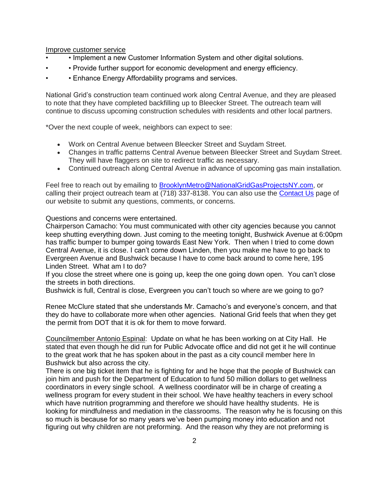Improve customer service

- • Implement a new Customer Information System and other digital solutions.
- • Provide further support for economic development and energy efficiency.
- • Enhance Energy Affordability programs and services.

National Grid's construction team continued work along Central Avenue, and they are pleased to note that they have completed backfilling up to Bleecker Street. The outreach team will continue to discuss upcoming construction schedules with residents and other local partners.

\*Over the next couple of week, neighbors can expect to see:

- Work on Central Avenue between Bleecker Street and Suydam Street.
- Changes in traffic patterns Central Avenue between Bleecker Street and Suydam Street. They will have flaggers on site to redirect traffic as necessary.
- Continued outreach along Central Avenue in advance of upcoming gas main installation.

Feel free to reach out by emailing to **BrooklynMetro@NationalGridGasProjectsNY.com**, or calling their project outreach team at (718) 337-8138. You can also use the [Contact Us](https://click.everyaction.com/k/6726962/61993081/1951491323?nvep=ew0KICAiVGVuYW50VXJpIjogIm5ncHZhbjovL3Zhbi9UU00vVFNNRUEvMS82ODYyMSIsDQogICJEaXN0cmlidXRpb25VbmlxdWVJZCI6ICI3N2NlOWMzYS04ZDc1LWU5MTEtYWJjNC0yODE4NzgzOTFlZmIiLA0KICAiRW1haWxBZGRyZXNzIjogIkJLMDRAY2IubnljLmdvdiINCn0%3D&hmac=Lo_B3fSq-63glzsj1c1TkfCo6HFdrz6uxI0l0vFtzYU=) page of our website to submit any questions, comments, or concerns.

Questions and concerns were entertained.

Chairperson Camacho: You must communicated with other city agencies because you cannot keep shutting everything down. Just coming to the meeting tonight, Bushwick Avenue at 6:00pm has traffic bumper to bumper going towards East New York. Then when I tried to come down Central Avenue, it is close. I can't come down Linden, then you make me have to go back to Evergreen Avenue and Bushwick because I have to come back around to come here, 195 Linden Street. What am I to do?

If you close the street where one is going up, keep the one going down open. You can't close the streets in both directions.

Bushwick is full, Central is close, Evergreen you can't touch so where are we going to go?

Renee McClure stated that she understands Mr. Camacho's and everyone's concern, and that they do have to collaborate more when other agencies. National Grid feels that when they get the permit from DOT that it is ok for them to move forward.

Councilmember Antonio Espinal: Update on what he has been working on at City Hall. He stated that even though he did run for Public Advocate office and did not get it he will continue to the great work that he has spoken about in the past as a city council member here In Bushwick but also across the city.

There is one big ticket item that he is fighting for and he hope that the people of Bushwick can join him and push for the Department of Education to fund 50 million dollars to get wellness coordinators in every single school. A wellness coordinator will be in charge of creating a wellness program for every student in their school. We have healthy teachers in every school which have nutrition programming and therefore we should have healthy students. He is looking for mindfulness and mediation in the classrooms. The reason why he is focusing on this so much is because for so many years we've been pumping money into education and not figuring out why children are not preforming. And the reason why they are not preforming is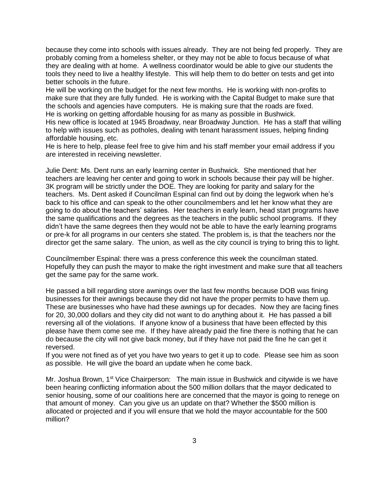because they come into schools with issues already. They are not being fed properly. They are probably coming from a homeless shelter, or they may not be able to focus because of what they are dealing with at home. A wellness coordinator would be able to give our students the tools they need to live a healthy lifestyle. This will help them to do better on tests and get into better schools in the future.

He will be working on the budget for the next few months. He is working with non-profits to make sure that they are fully funded. He is working with the Capital Budget to make sure that the schools and agencies have computers. He is making sure that the roads are fixed. He is working on getting affordable housing for as many as possible in Bushwick.

His new office is located at 1945 Broadway, near Broadway Junction. He has a staff that willing to help with issues such as potholes, dealing with tenant harassment issues, helping finding affordable housing, etc.

He is here to help, please feel free to give him and his staff member your email address if you are interested in receiving newsletter.

Julie Dent: Ms. Dent runs an early learning center in Bushwick. She mentioned that her teachers are leaving her center and going to work in schools because their pay will be higher. 3K program will be strictly under the DOE. They are looking for parity and salary for the teachers. Ms. Dent asked if Councilman Espinal can find out by doing the legwork when he's back to his office and can speak to the other councilmembers and let her know what they are going to do about the teachers' salaries. Her teachers in early learn, head start programs have the same qualifications and the degrees as the teachers in the public school programs. If they didn't have the same degrees then they would not be able to have the early learning programs or pre-k for all programs in our centers she stated. The problem is, is that the teachers nor the director get the same salary. The union, as well as the city council is trying to bring this to light.

Councilmember Espinal: there was a press conference this week the councilman stated. Hopefully they can push the mayor to make the right investment and make sure that all teachers get the same pay for the same work.

He passed a bill regarding store awnings over the last few months because DOB was fining businesses for their awnings because they did not have the proper permits to have them up. These are businesses who have had these awnings up for decades. Now they are facing fines for 20, 30,000 dollars and they city did not want to do anything about it. He has passed a bill reversing all of the violations. If anyone know of a business that have been effected by this please have them come see me. If they have already paid the fine there is nothing that he can do because the city will not give back money, but if they have not paid the fine he can get it reversed.

If you were not fined as of yet you have two years to get it up to code. Please see him as soon as possible. He will give the board an update when he come back.

Mr. Joshua Brown, 1<sup>st</sup> Vice Chairperson: The main issue in Bushwick and citywide is we have been hearing conflicting information about the 500 million dollars that the mayor dedicated to senior housing, some of our coalitions here are concerned that the mayor is going to renege on that amount of money. Can you give us an update on that? Whether the \$500 million is allocated or projected and if you will ensure that we hold the mayor accountable for the 500 million?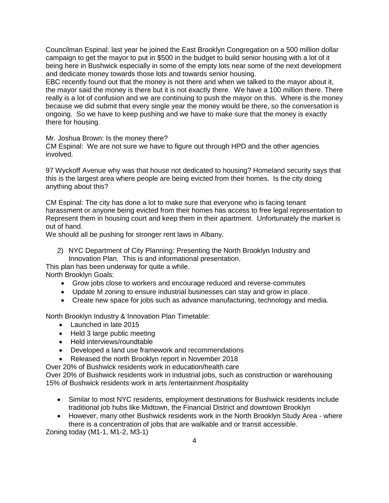Councilman Espinal: last year he joined the East Brooklyn Congregation on a 500 million dollar campaign to get the mayor to put in \$500 in the budget to build senior housing with a lot of it being here in Bushwick especially in some of the empty lots near some of the next development and dedicate money towards those lots and towards senior housing.

EBC recently found out that the money is not there and when we talked to the mayor about it, the mayor said the money is there but it is not exactly there. We have a 100 million there. There really is a lot of confusion and we are continuing to push the mayor on this. Where is the money because we did submit that every single year the money would be there, so the conversation is ongoing. So we have to keep pushing and we have to make sure that the money is exactly there for housing.

Mr. Joshua Brown: Is the money there?

CM Espinal: We are not sure we have to figure out through HPD and the other agencies involved.

97 Wyckoff Avenue why was that house not dedicated to housing? Homeland security says that this is the largest area where people are being evicted from their homes. Is the city doing anything about this?

CM Espinal: The city has done a lot to make sure that everyone who is facing tenant harassment or anyone being evicted from their homes has access to free legal representation to Represent them in housing court and keep them in their apartment. Unfortunately the market is out of hand.

We should all be pushing for stronger rent laws in Albany.

2) NYC Department of City Planning: Presenting the North Brooklyn Industry and Innovation Plan. This is and informational presentation.

This plan has been underway for quite a while. North Brooklyn Goals:

- Grow jobs close to workers and encourage reduced and reverse-commutes
- Update M zoning to ensure industrial businesses can stay and grow in place.
- Create new space for jobs such as advance manufacturing, technology and media.

North Brooklyn Industry & Innovation Plan Timetable:

- Launched in late 2015
- Held 3 large public meeting
- Held interviews/roundtable
- Developed a land use framework and recommendations
- Released the north Brooklyn report in November 2018
- Over 20% of Bushwick residents work in education/health care

Over 20% of Bushwick residents work in industrial jobs, such as construction or warehousing 15% of Bushwick residents work in arts /entertainment /hospitality

- Similar to most NYC residents, employment destinations for Bushwick residents include traditional job hubs like Midtown, the Financial District and downtown Brooklyn
- However, many other Bushwick residents work in the North Brooklyn Study Area where there is a concentration of jobs that are walkable and or transit accessible.

Zoning today (M1-1, M1-2, M3-1)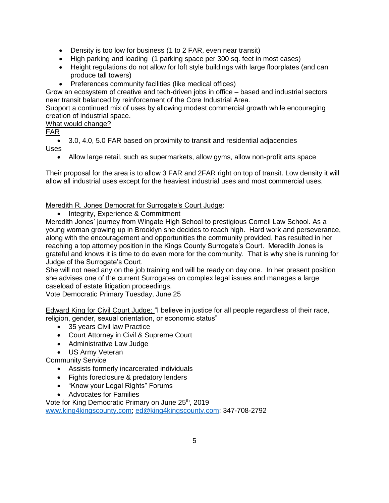- Density is too low for business (1 to 2 FAR, even near transit)
- High parking and loading (1 parking space per 300 sq. feet in most cases)
- Height regulations do not allow for loft style buildings with large floorplates (and can produce tall towers)
- Preferences community facilities (like medical offices)

Grow an ecosystem of creative and tech-driven jobs in office – based and industrial sectors near transit balanced by reinforcement of the Core Industrial Area.

Support a continued mix of uses by allowing modest commercial growth while encouraging creation of industrial space.

# What would change?

FAR

3.0, 4.0, 5.0 FAR based on proximity to transit and residential adjacencies

Uses

Allow large retail, such as supermarkets, allow gyms, allow non-profit arts space

Their proposal for the area is to allow 3 FAR and 2FAR right on top of transit. Low density it will allow all industrial uses except for the heaviest industrial uses and most commercial uses.

# Meredith R. Jones Democrat for Surrogate's Court Judge:

• Integrity, Experience & Commitment

Meredith Jones' journey from Wingate High School to prestigious Cornell Law School. As a young woman growing up in Brooklyn she decides to reach high. Hard work and perseverance, along with the encouragement and opportunities the community provided, has resulted in her reaching a top attorney position in the Kings County Surrogate's Court. Meredith Jones is grateful and knows it is time to do even more for the community. That is why she is running for Judge of the Surrogate's Court.

She will not need any on the job training and will be ready on day one. In her present position she advises one of the current Surrogates on complex legal issues and manages a large caseload of estate litigation proceedings.

Vote Democratic Primary Tuesday, June 25

Edward King for Civil Court Judge: "I believe in justice for all people regardless of their race, religion, gender, sexual orientation, or economic status"

- 35 years Civil law Practice
- Court Attorney in Civil & Supreme Court
- Administrative Law Judge
- US Army Veteran

Community Service

- Assists formerly incarcerated individuals
- Fights foreclosure & predatory lenders
- "Know your Legal Rights" Forums
- Advocates for Families

Vote for King Democratic Primary on June 25<sup>th</sup>, 2019

[www.king4kingscounty.com;](http://www.king4kingscounty.com/) [ed@king4kingscounty.com;](mailto:ed@king4kingscounty.com) 347-708-2792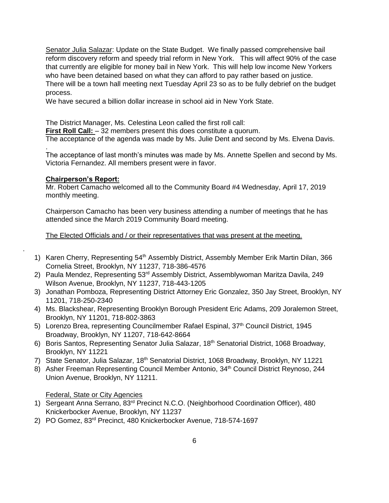Senator Julia Salazar: Update on the State Budget. We finally passed comprehensive bail reform discovery reform and speedy trial reform in New York. This will affect 90% of the case that currently are eligible for money bail in New York. This will help low income New Yorkers who have been detained based on what they can afford to pay rather based on justice. There will be a town hall meeting next Tuesday April 23 so as to be fully debrief on the budget process.

We have secured a billion dollar increase in school aid in New York State.

The District Manager, Ms. Celestina Leon called the first roll call:

**First Roll Call:**  $-32$  members present this does constitute a quorum.

The acceptance of the agenda was made by Ms. Julie Dent and second by Ms. Elvena Davis.

The acceptance of last month's minutes was made by Ms. Annette Spellen and second by Ms. Victoria Fernandez. All members present were in favor.

# **Chairperson's Report:**

.

.

Mr. Robert Camacho welcomed all to the Community Board #4 Wednesday, April 17, 2019 monthly meeting.

Chairperson Camacho has been very business attending a number of meetings that he has attended since the March 2019 Community Board meeting.

The Elected Officials and / or their representatives that was present at the meeting.

- 1) Karen Cherry, Representing 54<sup>th</sup> Assembly District, Assembly Member Erik Martin Dilan, 366 Cornelia Street, Brooklyn, NY 11237, 718-386-4576
- 2) Paula Mendez, Representing 53<sup>rd</sup> Assembly District, Assemblywoman Maritza Davila, 249 Wilson Avenue, Brooklyn, NY 11237, 718-443-1205
- 3) Jonathan Pomboza, Representing District Attorney Eric Gonzalez, 350 Jay Street, Brooklyn, NY 11201, 718-250-2340
- 4) Ms. Blackshear, Representing Brooklyn Borough President Eric Adams, 209 Joralemon Street, Brooklyn, NY 11201, 718-802-3863
- 5) Lorenzo Brea, representing Councilmember Rafael Espinal, 37<sup>th</sup> Council District, 1945 Broadway, Brooklyn, NY 11207, 718-642-8664
- 6) Boris Santos, Representing Senator Julia Salazar, 18th Senatorial District, 1068 Broadway, Brooklyn, NY 11221
- 7) State Senator, Julia Salazar, 18<sup>th</sup> Senatorial District, 1068 Broadway, Brooklyn, NY 11221
- 8) Asher Freeman Representing Council Member Antonio, 34<sup>th</sup> Council District Reynoso, 244 Union Avenue, Brooklyn, NY 11211.

Federal, State or City Agencies

- 1) Sergeant Anna Serrano, 83<sup>rd</sup> Precinct N.C.O. (Neighborhood Coordination Officer), 480 Knickerbocker Avenue, Brooklyn, NY 11237
- 2) PO Gomez, 83rd Precinct, 480 Knickerbocker Avenue, 718-574-1697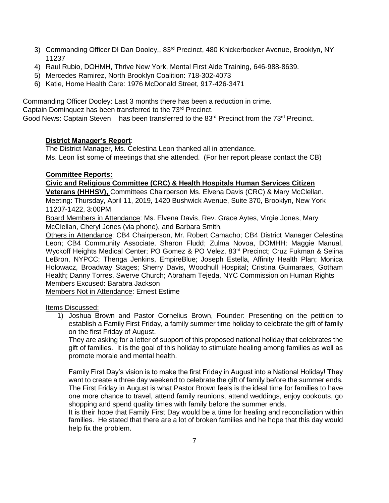- 3) Commanding Officer DI Dan Dooley,, 83<sup>rd</sup> Precinct, 480 Knickerbocker Avenue, Brooklyn, NY 11237
- 4) Raul Rubio, DOHMH, Thrive New York, Mental First Aide Training, 646-988-8639.
- 5) Mercedes Ramirez, North Brooklyn Coalition: 718-302-4073
- 6) Katie, Home Health Care: 1976 McDonald Street, 917-426-3471

Commanding Officer Dooley: Last 3 months there has been a reduction in crime. Captain Dominquez has been transferred to the 73<sup>rd</sup> Precinct. Good News: Captain Steven has been transferred to the 83<sup>rd</sup> Precinct from the 73<sup>rd</sup> Precinct.

# **District Manager's Report**:

The District Manager, Ms. Celestina Leon thanked all in attendance. Ms. Leon list some of meetings that she attended. (For her report please contact the CB)

# **Committee Reports:**

**Civic and Religious Committee (CRC) & Health Hospitals Human Services Citizen** 

**Veterans (HHHSV),** Committees Chairperson Ms. Elvena Davis (CRC) & Mary McClellan. Meeting: Thursday, April 11, 2019, 1420 Bushwick Avenue, Suite 370, Brooklyn, New York 11207-1422, 3:00PM

Board Members in Attendance: Ms. Elvena Davis, Rev. Grace Aytes, Virgie Jones, Mary McClellan, Cheryl Jones (via phone), and Barbara Smith,

Others in Attendance: CB4 Chairperson, Mr. Robert Camacho; CB4 District Manager Celestina Leon; CB4 Community Associate, Sharon Fludd; Zulma Novoa, DOMHH: Maggie Manual, Wyckoff Heights Medical Center; PO Gomez & PO Velez, 83<sup>rd</sup> Precinct; Cruz Fukman & Selina LeBron, NYPCC; Thenga Jenkins, EmpireBlue; Joseph Estella, Affinity Health Plan; Monica Holowacz, Broadway Stages; Sherry Davis, Woodhull Hospital; Cristina Guimaraes, Gotham Health; Danny Torres, Swerve Church; Abraham Tejeda, NYC Commission on Human Rights Members Excused: Barabra Jackson

Members Not in Attendance: Ernest Estime

Items Discussed:

1) Joshua Brown and Pastor Cornelius Brown, Founder: Presenting on the petition to establish a Family First Friday, a family summer time holiday to celebrate the gift of family on the first Friday of August.

They are asking for a letter of support of this proposed national holiday that celebrates the gift of families. It is the goal of this holiday to stimulate healing among families as well as promote morale and mental health.

Family First Day's vision is to make the first Friday in August into a National Holiday! They want to create a three day weekend to celebrate the gift of family before the summer ends. The First Friday in August is what Pastor Brown feels is the ideal time for families to have one more chance to travel, attend family reunions, attend weddings, enjoy cookouts, go shopping and spend quality times with family before the summer ends.

It is their hope that Family First Day would be a time for healing and reconciliation within families. He stated that there are a lot of broken families and he hope that this day would help fix the problem.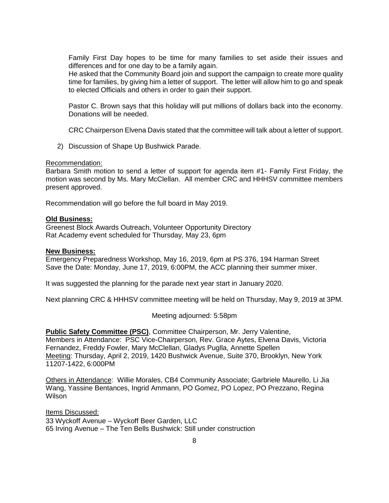Family First Day hopes to be time for many families to set aside their issues and differences and for one day to be a family again.

He asked that the Community Board join and support the campaign to create more quality time for families, by giving him a letter of support. The letter will allow him to go and speak to elected Officials and others in order to gain their support.

Pastor C. Brown says that this holiday will put millions of dollars back into the economy. Donations will be needed.

CRC Chairperson Elvena Davis stated that the committee will talk about a letter of support.

2) Discussion of Shape Up Bushwick Parade.

#### Recommendation:

Barbara Smith motion to send a letter of support for agenda item #1- Family First Friday, the motion was second by Ms. Mary McClellan. All member CRC and HHHSV committee members present approved.

Recommendation will go before the full board in May 2019.

#### **Old Business:**

Greenest Block Awards Outreach, Volunteer Opportunity Directory Rat Academy event scheduled for Thursday, May 23, 6pm

#### **New Business:**

Emergency Preparedness Workshop, May 16, 2019, 6pm at PS 376, 194 Harman Street Save the Date: Monday, June 17, 2019, 6:00PM, the ACC planning their summer mixer.

It was suggested the planning for the parade next year start in January 2020.

Next planning CRC & HHHSV committee meeting will be held on Thursday, May 9, 2019 at 3PM.

Meeting adjourned: 5:58pm

**Public Safety Committee (PSC)**, Committee Chairperson, Mr. Jerry Valentine, Members in Attendance: PSC Vice-Chairperson, Rev. Grace Aytes, Elvena Davis, Victoria Fernandez, Freddy Fowler, Mary McClellan, Gladys Puglla, Annette Spellen Meeting: Thursday, April 2, 2019, 1420 Bushwick Avenue, Suite 370, Brooklyn, New York 11207-1422, 6:000PM

Others in Attendance: Willie Morales, CB4 Community Associate; Garbriele Maurello, Li Jia Wang, Yassine Bentances, Ingrid Ammann, PO Gomez, PO Lopez, PO Prezzano, Regina Wilson

Items Discussed: 33 Wyckoff Avenue – Wyckoff Beer Garden, LLC 65 Irving Avenue – The Ten Bells Bushwick: Still under construction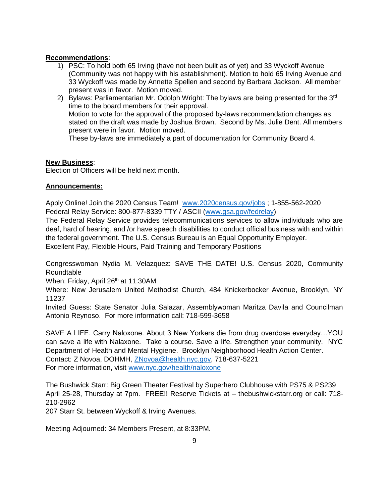## **Recommendations**:

- 1) PSC: To hold both 65 Irving (have not been built as of yet) and 33 Wyckoff Avenue (Community was not happy with his establishment). Motion to hold 65 Irving Avenue and 33 Wyckoff was made by Annette Spellen and second by Barbara Jackson. All member present was in favor. Motion moved.
- 2) Bylaws: Parliamentarian Mr. Odolph Wright: The bylaws are being presented for the 3rd time to the board members for their approval. Motion to vote for the approval of the proposed by-laws recommendation changes as stated on the draft was made by Joshua Brown. Second by Ms. Julie Dent. All members present were in favor. Motion moved.

These by-laws are immediately a part of documentation for Community Board 4.

# **New Business**:

Election of Officers will be held next month.

# **Announcements:**

Apply Online! Join the 2020 Census Team! [www.2020census.gov/jobs](http://www.2020census.gov/jobs) ; 1-855-562-2020 Federal Relay Service: 800-877-8339 TTY / ASCII [\(www.gsa.gov/fedrelay\)](http://www.gsa.gov/fedrelay)

The Federal Relay Service provides telecommunications services to allow individuals who are deaf, hard of hearing, and /or have speech disabilities to conduct official business with and within the federal government. The U.S. Census Bureau is an Equal Opportunity Employer. Excellent Pay, Flexible Hours, Paid Training and Temporary Positions

Congresswoman Nydia M. Velazquez: SAVE THE DATE! U.S. Census 2020, Community **Roundtable** 

When: Friday, April 26<sup>th</sup> at 11:30AM

Where: New Jerusalem United Methodist Church, 484 Knickerbocker Avenue, Brooklyn, NY 11237

Invited Guess: State Senator Julia Salazar, Assemblywoman Maritza Davila and Councilman Antonio Reynoso. For more information call: 718-599-3658

SAVE A LIFE. Carry Naloxone. About 3 New Yorkers die from drug overdose everyday…YOU can save a life with Nalaxone. Take a course. Save a life. Strengthen your community. NYC Department of Health and Mental Hygiene. Brooklyn Neighborhood Health Action Center. Contact: Z Novoa, DOHMH, [ZNovoa@health.nyc.gov,](mailto:ZNovoa@health.nyc.gov) 718-637-5221 For more information, visit [www.nyc.gov/health/naloxone](http://www.nyc.gov/health/naloxone) 

The Bushwick Starr: Big Green Theater Festival by Superhero Clubhouse with PS75 & PS239 April 25-28, Thursday at 7pm. FREE!! Reserve Tickets at – thebushwickstarr.org or call: 718- 210-2962

207 Starr St. between Wyckoff & Irving Avenues.

Meeting Adjourned: 34 Members Present, at 8:33PM.